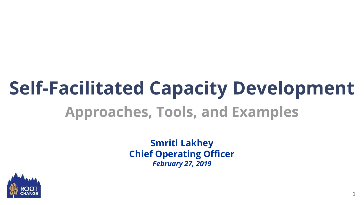# **Self-Facilitated Capacity Development Approaches, Tools, and Examples**

**Smriti Lakhey Chief Operating Officer** *February 27, 2019*

1

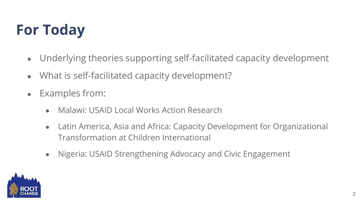# **For Today**

- Underlying theories supporting self-facilitated capacity development
- What is self-facilitated capacity development?
- Examples from:
	- Malawi: USAID Local Works Action Research
	- Latin America, Asia and Africa: Capacity Development for Organizational Transformation at Children International
	- Nigeria: USAID Strengthening Advocacy and Civic Engagement

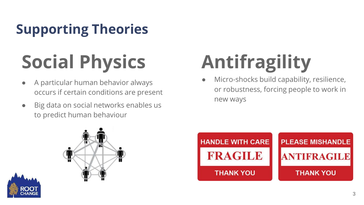# **Supporting Theories**

# **Social Physics**

- A particular human behavior always occurs if certain conditions are present
- Big data on social networks enables us to predict human behaviour

# **Antifragility**

Micro-shocks build capability, resilience, or robustness, forcing people to work in new ways





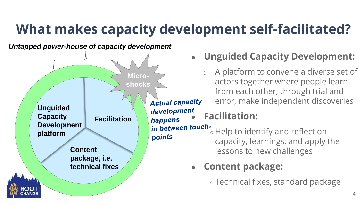## **What makes capacity development self-facilitated?**

*Untapped power-house of capacity development*



- **Unguided Capacity Development:** 
	- o A platform to convene a diverse set of actors together where people learn from each other, through trial and error, make independent discoveries

### development<br>**Facilitation:**

in between touch-<br>  $\circ$  Help to identify and reflect on capacity, learnings, and apply the lessons to new challenges

#### ● **Content package:**

○ Technical fixes, standard package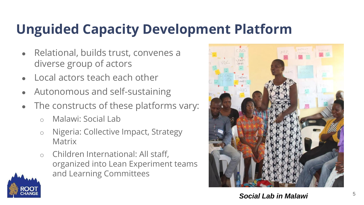## **Unguided Capacity Development Platform**

- Relational, builds trust, convenes a diverse group of actors
- Local actors teach each other
- Autonomous and self-sustaining
- The constructs of these platforms vary:
	- o Malawi: Social Lab
	- o Nigeria: Collective Impact, Strategy **Matrix**
	- o Children International: All staff, organized into Lean Experiment teams and Learning Committees



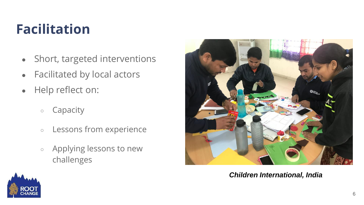## **Facilitation**

- Short, targeted interventions
- Facilitated by local actors
- Help reflect on:
	- Capacity
	- Lessons from experience
	- Applying lessons to new challenges



*Children International, India*

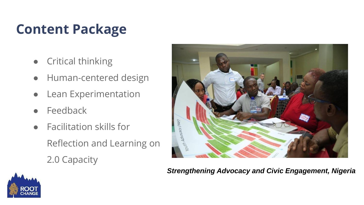### **Content Package**

- **Critical thinking**
- Human-centered design
- Lean Experimentation
- **Feedback**
- Facilitation skills for Reflection and Learning on 2.0 Capacity



*Strengthening Advocacy and Civic Engagement, Nigeria*

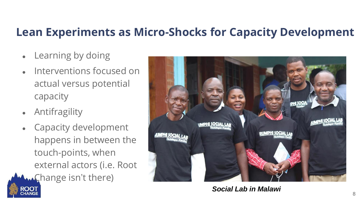#### **Lean Experiments as Micro-Shocks for Capacity Development**

- Learning by doing
- Interventions focused on actual versus potential capacity
- **Antifragility**
- Capacity development happens in between the touch-points, when external actors (i.e. Root
- **W.Change isn't there)**



*Social Lab in Malawi*